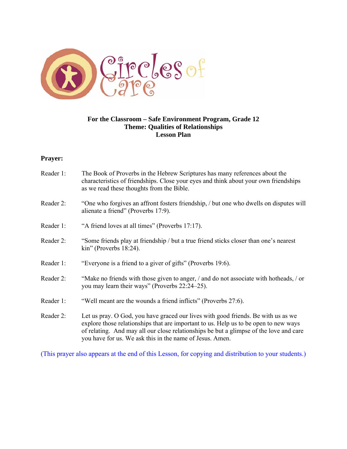

## **For the Classroom – Safe Environment Program, Grade 12 Theme: Qualities of Relationships Lesson Plan**

## **Prayer:**

| Reader 1: | The Book of Proverbs in the Hebrew Scriptures has many references about the<br>characteristics of friendships. Close your eyes and think about your own friendships<br>as we read these thoughts from the Bible.                                                                                                                |
|-----------|---------------------------------------------------------------------------------------------------------------------------------------------------------------------------------------------------------------------------------------------------------------------------------------------------------------------------------|
| Reader 2: | "One who forgives an affront fosters friendship, / but one who dwells on disputes will<br>alienate a friend" (Proverbs 17:9).                                                                                                                                                                                                   |
| Reader 1: | "A friend loves at all times" (Proverbs 17:17).                                                                                                                                                                                                                                                                                 |
| Reader 2: | "Some friends play at friendship / but a true friend sticks closer than one's nearest<br>$\text{kin}$ " (Proverbs 18:24).                                                                                                                                                                                                       |
| Reader 1: | "Everyone is a friend to a giver of gifts" (Proverbs 19:6).                                                                                                                                                                                                                                                                     |
| Reader 2: | "Make no friends with those given to anger, / and do not associate with hotheads, / or<br>you may learn their ways" (Proverbs 22:24–25).                                                                                                                                                                                        |
| Reader 1: | "Well meant are the wounds a friend inflicts" (Proverbs 27:6).                                                                                                                                                                                                                                                                  |
| Reader 2: | Let us pray. O God, you have graced our lives with good friends. Be with us as we<br>explore those relationships that are important to us. Help us to be open to new ways<br>of relating. And may all our close relationships be but a glimpse of the love and care<br>you have for us. We ask this in the name of Jesus. Amen. |

(This prayer also appears at the end of this Lesson, for copying and distribution to your students.)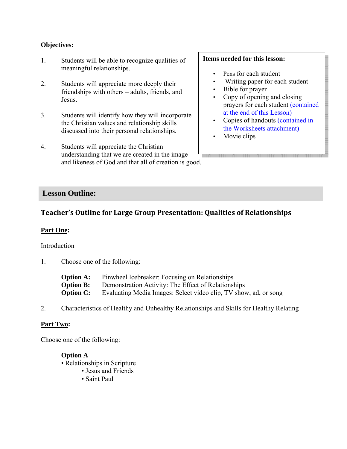## **Objectives:**

- 1. Students will be able to recognize qualities of meaningful relationships.
- 2. Students will appreciate more deeply their friendships with others – adults, friends, and Jesus.
- 3. Students will identify how they will incorporate the Christian values and relationship skills discussed into their personal relationships.
- 4. Students will appreciate the Christian understanding that we are created in the image and likeness of God and that all of creation is good.

#### **Items needed for this lesson:**

- Pens for each student
- Writing paper for each student
- Bible for prayer
- Copy of opening and closing prayers for each student (contained at the end of this Lesson)
- Copies of handouts (contained in the Worksheets attachment)
- Movie clips

# **Lesson Outline:**

# **Teacher's Outline for Large Group Presentation: Qualities of Relationships**

#### **Part One:**

#### **Introduction**

1. Choose one of the following:

| <b>Option A:</b> | Pinwheel Icebreaker: Focusing on Relationships                   |
|------------------|------------------------------------------------------------------|
| <b>Option B:</b> | Demonstration Activity: The Effect of Relationships              |
| <b>Option C:</b> | Evaluating Media Images: Select video clip, TV show, ad, or song |

2. Characteristics of Healthy and Unhealthy Relationships and Skills for Healthy Relating

#### **Part Two:**

Choose one of the following:

#### **Option A**

- Relationships in Scripture
	- Jesus and Friends
		- Saint Paul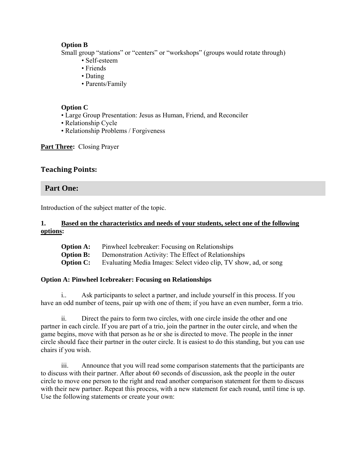# **Option B**

Small group "stations" or "centers" or "workshops" (groups would rotate through)

- Self-esteem
- Friends
- Dating
- Parents/Family

# **Option C**

- Large Group Presentation: Jesus as Human, Friend, and Reconciler
- Relationship Cycle
- Relationship Problems / Forgiveness

**Part Three:** Closing Prayer

# **Teaching Points:**

# **Part One:**

Introduction of the subject matter of the topic.

# **1. Based on the characteristics and needs of your students, select one of the following options:**

| <b>Option A:</b> | Pinwheel Icebreaker: Focusing on Relationships                   |
|------------------|------------------------------------------------------------------|
| <b>Option B:</b> | Demonstration Activity: The Effect of Relationships              |
| <b>Option C:</b> | Evaluating Media Images: Select video clip, TV show, ad, or song |

# **Option A: Pinwheel Icebreaker: Focusing on Relationships**

i.. Ask participants to select a partner, and include yourself in this process. If you have an odd number of teens, pair up with one of them; if you have an even number, form a trio.

ii. Direct the pairs to form two circles, with one circle inside the other and one partner in each circle. If you are part of a trio, join the partner in the outer circle, and when the game begins, move with that person as he or she is directed to move. The people in the inner circle should face their partner in the outer circle. It is easiest to do this standing, but you can use chairs if you wish.

iii. Announce that you will read some comparison statements that the participants are to discuss with their partner. After about 60 seconds of discussion, ask the people in the outer circle to move one person to the right and read another comparison statement for them to discuss with their new partner. Repeat this process, with a new statement for each round, until time is up. Use the following statements or create your own: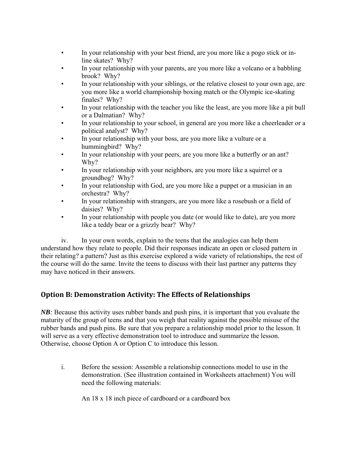- In your relationship with your best friend, are you more like a pogo stick or inline skates? Why?
- In your relationship with your parents, are you more like a volcano or a babbling brook? Why?
- In your relationship with your siblings, or the relative closest to your own age, are you more like a world championship boxing match or the Olympic ice-skating finales? Why?
- In your relationship with the teacher you like the least, are you more like a pit bull or a Dalmatian? Why?
- In your relationship to your school, in general are you more like a cheerleader or a political analyst? Why?
- In your relationship with your boss, are you more like a vulture or a hummingbird? Why?
- In your relationship with your peers, are you more like a butterfly or an ant? Why?
- In your relationship with your neighbors, are you more like a squirrel or a groundhog? Why?
- In your relationship with God, are you more like a puppet or a musician in an orchestra? Why?
- In your relationship with strangers, are you more like a rosebush or a field of daisies? Why?
- In your relationship with people you date (or would like to date), are you more like a teddy bear or a grizzly bear? Why?

iv. In your own words, explain to the teens that the analogies can help them understand how they relate to people. Did their responses indicate an open or closed pattern in their relating? a pattern? Just as this exercise explored a wide variety of relationships, the rest of the course will do the same. Invite the teens to discuss with their last partner any patterns they may have noticed in their answers.

# **Option B: Demonstration Activity: The Effects of Relationships**

*NB*: Because this activity uses rubber bands and push pins, it is important that you evaluate the maturity of the group of teens and that you weigh that reality against the possible misuse of the rubber bands and push pins. Be sure that you prepare a relationship model prior to the lesson. It will serve as a very effective demonstration tool to introduce and summarize the lesson. Otherwise, choose Option A or Option C to introduce this lesson.

i. Before the session: Assemble a relationship connections model to use in the demonstration. (See illustration contained in Worksheets attachment) You will need the following materials:

An 18 x 18 inch piece of cardboard or a cardboard box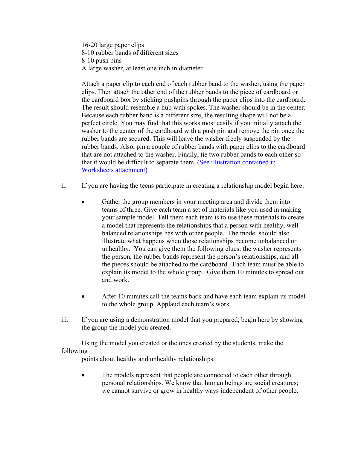16-20 large paper clips 8-10 rubber bands of different sizes 8-10 push pins A large washer, at least one inch in diameter

Attach a paper clip to each end of each rubber band to the washer, using the paper clips. Then attach the other end of the rubber bands to the piece of cardboard or the cardboard box by sticking pushpins through the paper clips into the cardboard. The result should resemble a hub with spokes. The washer should be in the center. Because each rubber band is a different size, the resulting shape will not be a perfect circle. You may find that this works most easily if you initially attach the washer to the center of the cardboard with a push pin and remove the pin once the rubber bands are secured. This will leave the washer freely suspended by the rubber bands. Also, pin a couple of rubber bands with paper clips to the cardboard that are not attached to the washer. Finally, tie two rubber bands to each other so that it would be difficult to separate them. (See illustration contained in Worksheets attachment)

- ii. If you are having the teens participate in creating a relationship model begin here:
	- Gather the group members in your meeting area and divide them into teams of three. Give each team a set of materials like you used in making your sample model. Tell them each team is to use these materials to create a model that represents the relationships that a person with healthy, wellbalanced relationships has with other people. The model should also illustrate what happens when those relationships become unbalanced or unhealthy. You can give them the following clues: the washer represents the person, the rubber bands represent the person's relationships, and all the pieces should be attached to the cardboard. Each team must be able to explain its model to the whole group. Give them 10 minutes to spread out and work.
	- After 10 minutes call the teams back and have each team explain its model to the whole group. Applaud each team's work.
- iii. If you are using a demonstration model that you prepared, begin here by showing the group the model you created.

Using the model you created or the ones created by the students, make the following

points about healthy and unhealthy relationships.

The models represent that people are connected to each other through personal relationships. We know that human beings are social creatures; we cannot survive or grow in healthy ways independent of other people.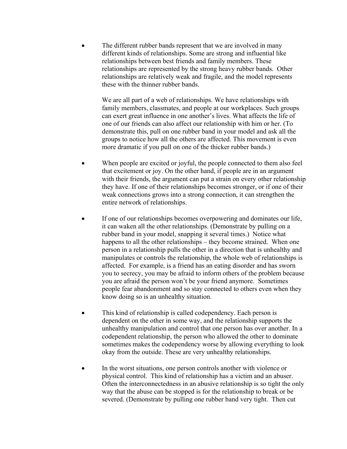The different rubber bands represent that we are involved in many different kinds of relationships. Some are strong and influential like relationships between best friends and family members. These relationships are represented by the strong heavy rubber bands. Other relationships are relatively weak and fragile, and the model represents these with the thinner rubber bands.

We are all part of a web of relationships. We have relationships with family members, classmates, and people at our workplaces. Such groups can exert great influence in one another's lives. What affects the life of one of our friends can also affect our relationship with him or her. (To demonstrate this, pull on one rubber band in your model and ask all the groups to notice how all the others are affected. This movement is even more dramatic if you pull on one of the thicker rubber bands.)

- When people are excited or joyful, the people connected to them also feel that excitement or joy. On the other hand, if people are in an argument with their friends, the argument can put a strain on every other relationship they have. If one of their relationships becomes stronger, or if one of their weak connections grows into a strong connection, it can strengthen the entire network of relationships.
- If one of our relationships becomes overpowering and dominates our life, it can waken all the other relationships. (Demonstrate by pulling on a rubber band in your model, snapping it several times.) Notice what happens to all the other relationships – they become strained. When one person in a relationship pulls the other in a direction that is unhealthy and manipulates or controls the relationship, the whole web of relationships is affected. For example, is a friend has an eating disorder and has sworn you to secrecy, you may be afraid to inform others of the problem because you are afraid the person won't be your friend anymore. Sometimes people fear abandonment and so stay connected to others even when they know doing so is an unhealthy situation.
- This kind of relationship is called codependency. Each person is dependent on the other in some way, and the relationship supports the unhealthy manipulation and control that one person has over another. In a codependent relationship, the person who allowed the other to dominate sometimes makes the codependency worse by allowing everything to look okay from the outside. These are very unhealthy relationships.
- In the worst situations, one person controls another with violence or physical control. This kind of relationship has a victim and an abuser. Often the interconnectedness in an abusive relationship is so tight the only way that the abuse can be stopped is for the relationship to break or be severed. (Demonstrate by pulling one rubber band very tight. Then cut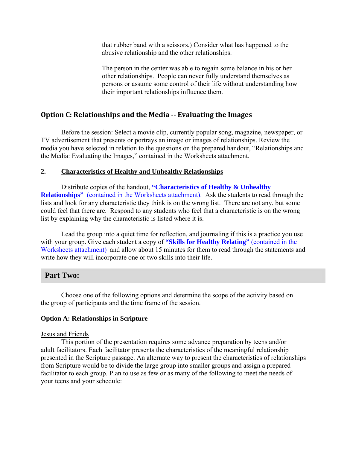that rubber band with a scissors.) Consider what has happened to the abusive relationship and the other relationships.

The person in the center was able to regain some balance in his or her other relationships. People can never fully understand themselves as persons or assume some control of their life without understanding how their important relationships influence them.

## **Option C: Relationships and the Media Evaluating the Images**

Before the session: Select a movie clip, currently popular song, magazine, newspaper, or TV advertisement that presents or portrays an image or images of relationships. Review the media you have selected in relation to the questions on the prepared handout, "Relationships and the Media: Evaluating the Images," contained in the Worksheets attachment.

#### **2. Characteristics of Healthy and Unhealthy Relationships**

Distribute copies of the handout, **"Characteristics of Healthy & Unhealthy Relationships"** (contained in the Worksheets attachment). Ask the students to read through the lists and look for any characteristic they think is on the wrong list. There are not any, but some could feel that there are. Respond to any students who feel that a characteristic is on the wrong list by explaining why the characteristic is listed where it is.

Lead the group into a quiet time for reflection, and journaling if this is a practice you use with your group. Give each student a copy of **"Skills for Healthy Relating"** (contained in the Worksheets attachment) and allow about 15 minutes for them to read through the statements and write how they will incorporate one or two skills into their life.

#### **Part Two:**

Choose one of the following options and determine the scope of the activity based on the group of participants and the time frame of the session.

#### **Option A: Relationships in Scripture**

#### Jesus and Friends

This portion of the presentation requires some advance preparation by teens and/or adult facilitators. Each facilitator presents the characteristics of the meaningful relationship presented in the Scripture passage. An alternate way to present the characteristics of relationships from Scripture would be to divide the large group into smaller groups and assign a prepared facilitator to each group. Plan to use as few or as many of the following to meet the needs of your teens and your schedule: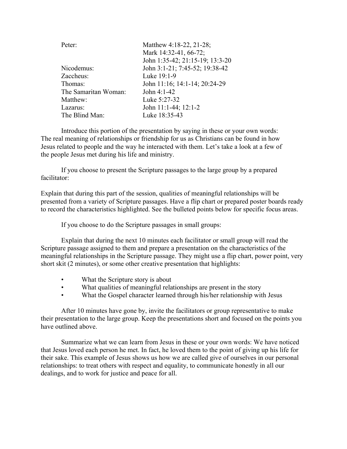| Peter:               | Matthew 4:18-22, 21-28;         |
|----------------------|---------------------------------|
|                      | Mark 14:32-41, 66-72;           |
|                      | John 1:35-42; 21:15-19; 13:3-20 |
| Nicodemus:           | John 3:1-21; 7:45-52; 19:38-42  |
| Zaccheus:            | Luke 19:1-9                     |
| Thomas:              | John 11:16; 14:1-14; 20:24-29   |
| The Samaritan Woman: | John 4:1-42                     |
| Matthew:             | Luke 5:27-32                    |
| Lazarus:             | John 11:1-44; 12:1-2            |
| The Blind Man:       | Luke 18:35-43                   |

Introduce this portion of the presentation by saying in these or your own words: The real meaning of relationships or friendship for us as Christians can be found in how Jesus related to people and the way he interacted with them. Let's take a look at a few of the people Jesus met during his life and ministry.

If you choose to present the Scripture passages to the large group by a prepared facilitator:

Explain that during this part of the session, qualities of meaningful relationships will be presented from a variety of Scripture passages. Have a flip chart or prepared poster boards ready to record the characteristics highlighted. See the bulleted points below for specific focus areas.

If you choose to do the Scripture passages in small groups:

Explain that during the next 10 minutes each facilitator or small group will read the Scripture passage assigned to them and prepare a presentation on the characteristics of the meaningful relationships in the Scripture passage. They might use a flip chart, power point, very short skit (2 minutes), or some other creative presentation that highlights:

- What the Scripture story is about
- What qualities of meaningful relationships are present in the story
- What the Gospel character learned through his/her relationship with Jesus

After 10 minutes have gone by, invite the facilitators or group representative to make their presentation to the large group. Keep the presentations short and focused on the points you have outlined above.

Summarize what we can learn from Jesus in these or your own words: We have noticed that Jesus loved each person he met. In fact, he loved them to the point of giving up his life for their sake. This example of Jesus shows us how we are called give of ourselves in our personal relationships: to treat others with respect and equality, to communicate honestly in all our dealings, and to work for justice and peace for all.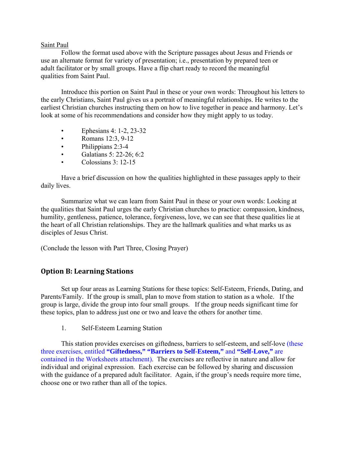#### Saint Paul

Follow the format used above with the Scripture passages about Jesus and Friends or use an alternate format for variety of presentation; i.e., presentation by prepared teen or adult facilitator or by small groups. Have a flip chart ready to record the meaningful qualities from Saint Paul.

Introduce this portion on Saint Paul in these or your own words: Throughout his letters to the early Christians, Saint Paul gives us a portrait of meaningful relationships. He writes to the earliest Christian churches instructing them on how to live together in peace and harmony. Let's look at some of his recommendations and consider how they might apply to us today.

- Ephesians 4: 1-2, 23-32
- Romans 12:3, 9-12
- Philippians 2:3-4
- Galatians 5: 22-26; 6:2
- Colossians 3: 12-15

Have a brief discussion on how the qualities highlighted in these passages apply to their daily lives.

Summarize what we can learn from Saint Paul in these or your own words: Looking at the qualities that Saint Paul urges the early Christian churches to practice: compassion, kindness, humility, gentleness, patience, tolerance, forgiveness, love, we can see that these qualities lie at the heart of all Christian relationships. They are the hallmark qualities and what marks us as disciples of Jesus Christ.

(Conclude the lesson with Part Three, Closing Prayer)

# **Option B: Learning Stations**

Set up four areas as Learning Stations for these topics: Self-Esteem, Friends, Dating, and Parents/Family. If the group is small, plan to move from station to station as a whole. If the group is large, divide the group into four small groups. If the group needs significant time for these topics, plan to address just one or two and leave the others for another time.

1. Self-Esteem Learning Station

This station provides exercises on giftedness, barriers to self-esteem, and self-love (these three exercises, entitled **"Giftedness," "Barriers to Self-Esteem,"** and **"Self-Love,"** are contained in the Worksheets attachment). The exercises are reflective in nature and allow for individual and original expression. Each exercise can be followed by sharing and discussion with the guidance of a prepared adult facilitator. Again, if the group's needs require more time, choose one or two rather than all of the topics.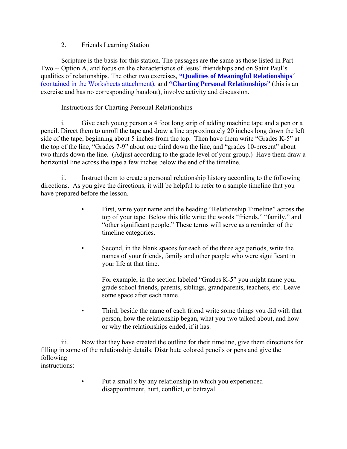# 2. Friends Learning Station

Scripture is the basis for this station. The passages are the same as those listed in Part Two -- Option A, and focus on the characteristics of Jesus' friendships and on Saint Paul's qualities of relationships. The other two exercises*,* **"Qualities of Meaningful Relationships**" (contained in the Worksheets attachment), and **"Charting Personal Relationships"** (this is an exercise and has no corresponding handout), involve activity and discussion.

# Instructions for Charting Personal Relationships

i. Give each young person a 4 foot long strip of adding machine tape and a pen or a pencil. Direct them to unroll the tape and draw a line approximately 20 inches long down the left side of the tape, beginning about 5 inches from the top. Then have them write "Grades K-5" at the top of the line, "Grades 7-9" about one third down the line, and "grades 10-present" about two thirds down the line. (Adjust according to the grade level of your group.) Have them draw a horizontal line across the tape a few inches below the end of the timeline.

ii. Instruct them to create a personal relationship history according to the following directions. As you give the directions, it will be helpful to refer to a sample timeline that you have prepared before the lesson.

- First, write your name and the heading "Relationship Timeline" across the top of your tape. Below this title write the words "friends," "family," and "other significant people." These terms will serve as a reminder of the timeline categories.
- Second, in the blank spaces for each of the three age periods, write the names of your friends, family and other people who were significant in your life at that time.

For example, in the section labeled "Grades K-5" you might name your grade school friends, parents, siblings, grandparents, teachers, etc. Leave some space after each name.

• Third, beside the name of each friend write some things you did with that person, how the relationship began, what you two talked about, and how or why the relationships ended, if it has.

iii. Now that they have created the outline for their timeline, give them directions for filling in some of the relationship details. Distribute colored pencils or pens and give the following instructions:

> • Put a small x by any relationship in which you experienced disappointment, hurt, conflict, or betrayal.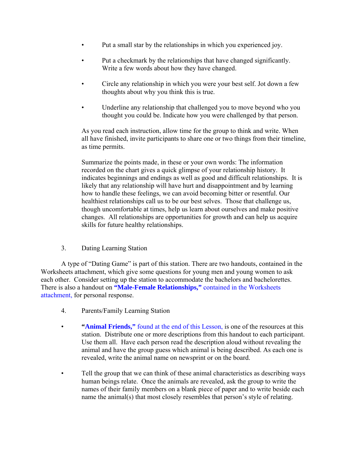- Put a small star by the relationships in which you experienced joy.
- Put a checkmark by the relationships that have changed significantly. Write a few words about how they have changed.
- Circle any relationship in which you were your best self. Jot down a few thoughts about why you think this is true.
- Underline any relationship that challenged you to move beyond who you thought you could be. Indicate how you were challenged by that person.

As you read each instruction, allow time for the group to think and write. When all have finished, invite participants to share one or two things from their timeline, as time permits.

Summarize the points made, in these or your own words: The information recorded on the chart gives a quick glimpse of your relationship history. It indicates beginnings and endings as well as good and difficult relationships. It is likely that any relationship will have hurt and disappointment and by learning how to handle these feelings, we can avoid becoming bitter or resentful. Our healthiest relationships call us to be our best selves. Those that challenge us, though uncomfortable at times, help us learn about ourselves and make positive changes. All relationships are opportunities for growth and can help us acquire skills for future healthy relationships.

3. Dating Learning Station

A type of "Dating Game" is part of this station. There are two handouts, contained in the Worksheets attachment, which give some questions for young men and young women to ask each other. Consider setting up the station to accommodate the bachelors and bachelorettes. There is also a handout on **"Male-Female Relationships,"** contained in the Worksheets attachment, for personal response.

- 4. Parents/Family Learning Station
- **"Animal Friends,"** found at the end of this Lesson, is one of the resources at this station. Distribute one or more descriptions from this handout to each participant. Use them all. Have each person read the description aloud without revealing the animal and have the group guess which animal is being described. As each one is revealed, write the animal name on newsprint or on the board.
- Tell the group that we can think of these animal characteristics as describing ways human beings relate. Once the animals are revealed, ask the group to write the names of their family members on a blank piece of paper and to write beside each name the animal(s) that most closely resembles that person's style of relating.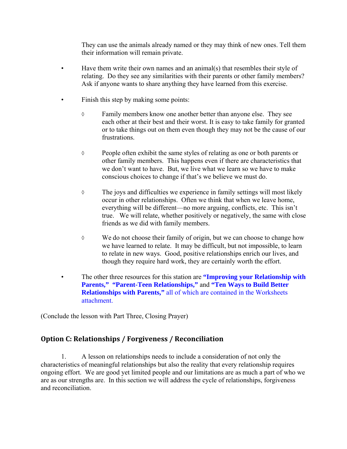They can use the animals already named or they may think of new ones. Tell them their information will remain private.

- Have them write their own names and an animal(s) that resembles their style of relating. Do they see any similarities with their parents or other family members? Ask if anyone wants to share anything they have learned from this exercise.
- Finish this step by making some points:
	- ◊ Family members know one another better than anyone else. They see each other at their best and their worst. It is easy to take family for granted or to take things out on them even though they may not be the cause of our frustrations.
	- ◊ People often exhibit the same styles of relating as one or both parents or other family members. This happens even if there are characteristics that we don't want to have. But, we live what we learn so we have to make conscious choices to change if that's we believe we must do.
	- ◊ The joys and difficulties we experience in family settings will most likely occur in other relationships. Often we think that when we leave home, everything will be different—no more arguing, conflicts, etc. This isn't true. We will relate, whether positively or negatively, the same with close friends as we did with family members.
	- ◊ We do not choose their family of origin, but we can choose to change how we have learned to relate. It may be difficult, but not impossible, to learn to relate in new ways. Good, positive relationships enrich our lives, and though they require hard work, they are certainly worth the effort.
- The other three resources for this station are **"Improving your Relationship with Parents," "Parent-Teen Relationships,"** and **"Ten Ways to Build Better Relationships with Parents,"** all of which are contained in the Worksheets attachment.

(Conclude the lesson with Part Three, Closing Prayer)

# **Option C: Relationships / Forgiveness / Reconciliation**

1. A lesson on relationships needs to include a consideration of not only the characteristics of meaningful relationships but also the reality that every relationship requires ongoing effort. We are good yet limited people and our limitations are as much a part of who we are as our strengths are. In this section we will address the cycle of relationships, forgiveness and reconciliation.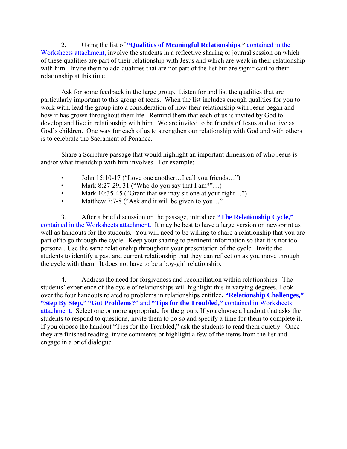2. Using the list of **"Qualities of Meaningful Relationships**,**"** contained in the Worksheets attachment, involve the students in a reflective sharing or journal session on which of these qualities are part of their relationship with Jesus and which are weak in their relationship with him. Invite them to add qualities that are not part of the list but are significant to their relationship at this time.

Ask for some feedback in the large group. Listen for and list the qualities that are particularly important to this group of teens. When the list includes enough qualities for you to work with, lead the group into a consideration of how their relationship with Jesus began and how it has grown throughout their life. Remind them that each of us is invited by God to develop and live in relationship with him. We are invited to be friends of Jesus and to live as God's children. One way for each of us to strengthen our relationship with God and with others is to celebrate the Sacrament of Penance.

Share a Scripture passage that would highlight an important dimension of who Jesus is and/or what friendship with him involves. For example:

- John 15:10-17 ("Love one another...I call you friends...")
- Mark 8:27-29, 31 ("Who do you say that I am?"...)
- Mark 10:35-45 ("Grant that we may sit one at your right...")
- Matthew 7:7-8 ("Ask and it will be given to you..."

3. After a brief discussion on the passage, introduce **"The Relationship Cycle,"** contained in the Worksheets attachment. It may be best to have a large version on newsprint as well as handouts for the students. You will need to be willing to share a relationship that you are part of to go through the cycle. Keep your sharing to pertinent information so that it is not too personal. Use the same relationship throughout your presentation of the cycle. Invite the students to identify a past and current relationship that they can reflect on as you move through the cycle with them. It does not have to be a boy-girl relationship.

4. Address the need for forgiveness and reconciliation within relationships. The students' experience of the cycle of relationships will highlight this in varying degrees. Look over the four handouts related to problems in relationships entitled**, "Relationship Challenges," "Step By Step," "Got Problems?"** and **"Tips for the Troubled,"** contained in Worksheets attachment. Select one or more appropriate for the group. If you choose a handout that asks the students to respond to questions, invite them to do so and specify a time for them to complete it. If you choose the handout "Tips for the Troubled," ask the students to read them quietly. Once they are finished reading, invite comments or highlight a few of the items from the list and engage in a brief dialogue.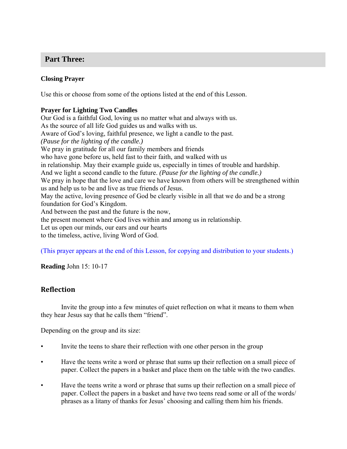# **Part Three:**

# **Closing Prayer**

Use this or choose from some of the options listed at the end of this Lesson.

# **Prayer for Lighting Two Candles**

Our God is a faithful God, loving us no matter what and always with us. As the source of all life God guides us and walks with us. Aware of God's loving, faithful presence, we light a candle to the past. *(Pause for the lighting of the candle.)*  We pray in gratitude for all our family members and friends who have gone before us, held fast to their faith, and walked with us in relationship. May their example guide us, especially in times of trouble and hardship. And we light a second candle to the future. *(Pause for the lighting of the candle.)*  We pray in hope that the love and care we have known from others will be strengthened within us and help us to be and live as true friends of Jesus. May the active, loving presence of God be clearly visible in all that we do and be a strong foundation for God's Kingdom. And between the past and the future is the now, the present moment where God lives within and among us in relationship. Let us open our minds, our ears and our hearts to the timeless, active, living Word of God.

(This prayer appears at the end of this Lesson, for copying and distribution to your students.)

**Reading** John 15: 10-17

# **Reflection**

Invite the group into a few minutes of quiet reflection on what it means to them when they hear Jesus say that he calls them "friend".

Depending on the group and its size:

- Invite the teens to share their reflection with one other person in the group
- Have the teens write a word or phrase that sums up their reflection on a small piece of paper. Collect the papers in a basket and place them on the table with the two candles.
- Have the teens write a word or phrase that sums up their reflection on a small piece of paper. Collect the papers in a basket and have two teens read some or all of the words/ phrases as a litany of thanks for Jesus' choosing and calling them him his friends.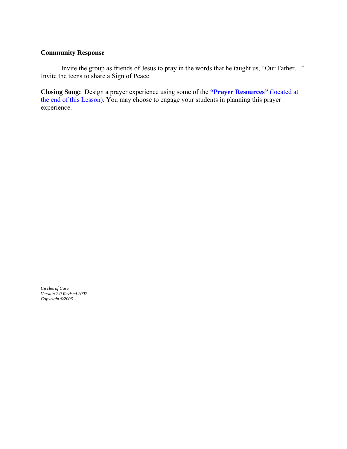## **Community Response**

Invite the group as friends of Jesus to pray in the words that he taught us, "Our Father…" Invite the teens to share a Sign of Peace.

**Closing Song:** Design a prayer experience using some of the **"Prayer Resources"** (located at the end of this Lesson). You may choose to engage your students in planning this prayer experience.

*Circles of Care Version 2.0 Revised 2007 Copyright ©2006*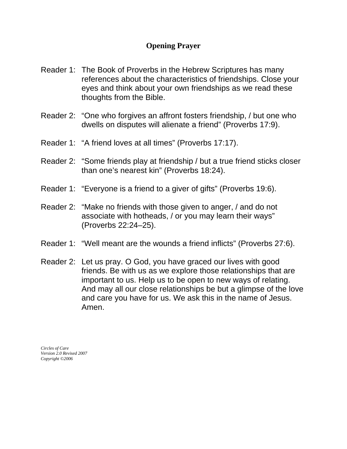# **Opening Prayer**

- Reader 1: The Book of Proverbs in the Hebrew Scriptures has many references about the characteristics of friendships. Close your eyes and think about your own friendships as we read these thoughts from the Bible.
- Reader 2: "One who forgives an affront fosters friendship, / but one who dwells on disputes will alienate a friend" (Proverbs 17:9).
- Reader 1: "A friend loves at all times" (Proverbs 17:17).
- Reader 2: "Some friends play at friendship / but a true friend sticks closer than one's nearest kin" (Proverbs 18:24).
- Reader 1: "Everyone is a friend to a giver of gifts" (Proverbs 19:6).
- Reader 2: "Make no friends with those given to anger, / and do not associate with hotheads, / or you may learn their ways" (Proverbs 22:24–25).
- Reader 1: "Well meant are the wounds a friend inflicts" (Proverbs 27:6).
- Reader 2: Let us pray. O God, you have graced our lives with good friends. Be with us as we explore those relationships that are important to us. Help us to be open to new ways of relating. And may all our close relationships be but a glimpse of the love and care you have for us. We ask this in the name of Jesus. Amen.

*Circles of Care Version 2.0 Revised 2007 Copyright ©2006*